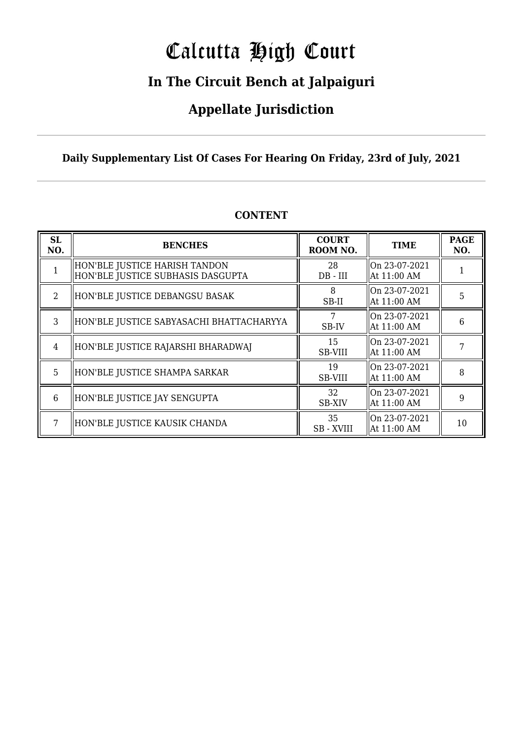# Calcutta High Court

### **In The Circuit Bench at Jalpaiguri**

### **Appellate Jurisdiction**

### **Daily Supplementary List Of Cases For Hearing On Friday, 23rd of July, 2021**

| SL<br>NO.      | <b>BENCHES</b>                                                     | <b>COURT</b><br>ROOM NO. | <b>TIME</b>                                | <b>PAGE</b><br>NO. |
|----------------|--------------------------------------------------------------------|--------------------------|--------------------------------------------|--------------------|
|                | HON'BLE JUSTICE HARISH TANDON<br>HON'BLE JUSTICE SUBHASIS DASGUPTA | 28<br>$DB$ - $III$       | On 23-07-2021<br>  At 11:00 AM             |                    |
| $\mathfrak{D}$ | HON'BLE JUSTICE DEBANGSU BASAK                                     | 8<br>SB-II               | On 23-07-2021<br>  At 11:00 AM             | 5                  |
| 3              | HON'BLE JUSTICE SABYASACHI BHATTACHARYYA                           | 7<br>SB-IV               | On 23-07-2021<br>  At 11:00 AM             | 6                  |
| 4              | HON'BLE JUSTICE RAJARSHI BHARADWAJ                                 | 15<br>SB-VIII            | On 23-07-2021<br>  At 11:00 AM             |                    |
| 5              | HON'BLE JUSTICE SHAMPA SARKAR                                      | 19<br><b>SB-VIII</b>     | On 23-07-2021<br>  At 11:00 AM             | 8                  |
| 6              | HON'BLE JUSTICE JAY SENGUPTA                                       | 32<br><b>SB-XIV</b>      | $\parallel$ On 23-07-2021<br>  At 11:00 AM | 9                  |
|                | HON'BLE JUSTICE KAUSIK CHANDA                                      | 35<br>SB - XVIII         | On 23-07-2021<br>  At 11:00 AM             | 10                 |

### **CONTENT**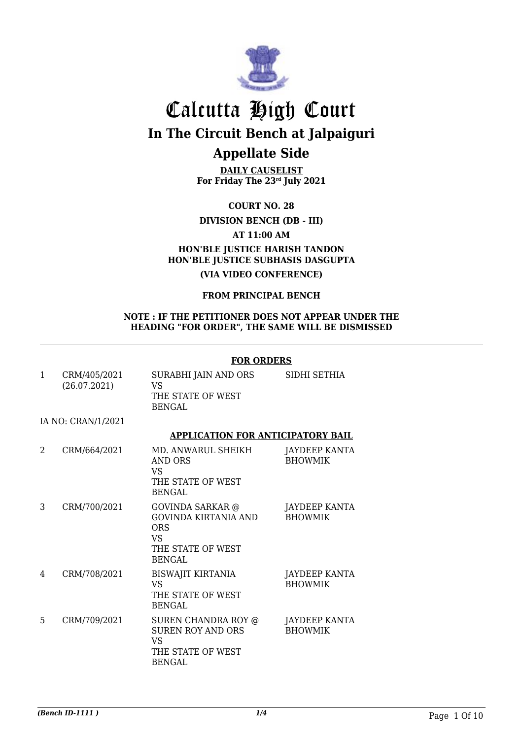

**DAILY CAUSELIST For Friday The 23rd July 2021**

**COURT NO. 28**

**DIVISION BENCH (DB - III)**

**AT 11:00 AM**

### **HON'BLE JUSTICE HARISH TANDON HON'BLE JUSTICE SUBHASIS DASGUPTA**

**(VIA VIDEO CONFERENCE)**

#### **FROM PRINCIPAL BENCH**

#### **NOTE : IF THE PETITIONER DOES NOT APPEAR UNDER THE HEADING "FOR ORDER", THE SAME WILL BE DISMISSED**

#### **FOR ORDERS**

|              |                              | טונעטונט ו                                                                                         |                                        |  |
|--------------|------------------------------|----------------------------------------------------------------------------------------------------|----------------------------------------|--|
| $\mathbf{1}$ | CRM/405/2021<br>(26.07.2021) | SURABHI JAIN AND ORS<br>VS<br>THE STATE OF WEST<br><b>BENGAL</b>                                   | SIDHI SETHIA                           |  |
|              | IA NO: CRAN/1/2021           |                                                                                                    |                                        |  |
|              |                              | <b>APPLICATION FOR ANTICIPATORY BAIL</b>                                                           |                                        |  |
| 2            | CRM/664/2021                 | MD. ANWARUL SHEIKH<br>AND ORS<br><b>VS</b><br>THE STATE OF WEST<br>BENGAL                          | JAYDEEP KANTA<br><b>BHOWMIK</b>        |  |
| 3            | CRM/700/2021                 | GOVINDA SARKAR @<br>GOVINDA KIRTANIA AND<br><b>ORS</b><br><b>VS</b><br>THE STATE OF WEST<br>BENGAL | JAYDEEP KANTA<br><b>BHOWMIK</b>        |  |
| 4            | CRM/708/2021                 | <b>BISWAJIT KIRTANIA</b><br><b>VS</b><br>THE STATE OF WEST<br><b>BENGAL</b>                        | <b>JAYDEEP KANTA</b><br><b>BHOWMIK</b> |  |
| 5            | CRM/709/2021                 | SUREN CHANDRA ROY @<br><b>SUREN ROY AND ORS</b><br><b>VS</b><br>THE STATE OF WEST<br><b>BENGAL</b> | JAYDEEP KANTA<br><b>BHOWMIK</b>        |  |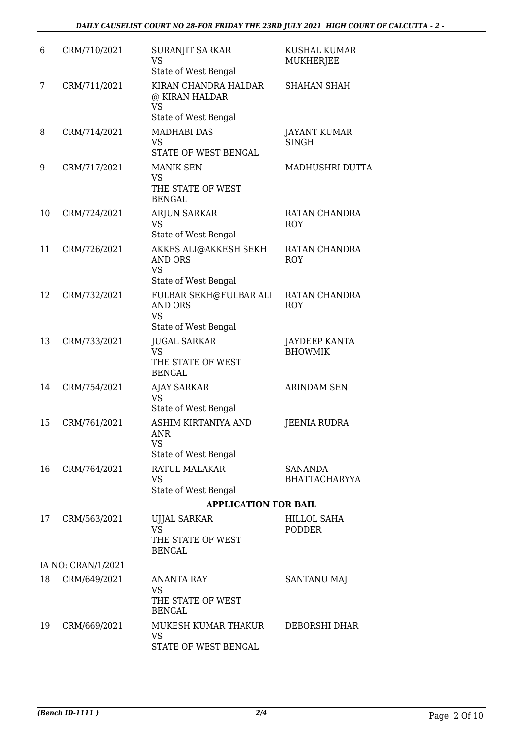| 6  | CRM/710/2021       | SURANJIT SARKAR<br><b>VS</b><br>State of West Bengal                                | <b>KUSHAL KUMAR</b><br><b>MUKHERJEE</b> |
|----|--------------------|-------------------------------------------------------------------------------------|-----------------------------------------|
| 7  | CRM/711/2021       | KIRAN CHANDRA HALDAR<br>@ KIRAN HALDAR<br><b>VS</b><br>State of West Bengal         | <b>SHAHAN SHAH</b>                      |
| 8  | CRM/714/2021       | <b>MADHABI DAS</b><br><b>VS</b><br>STATE OF WEST BENGAL                             | <b>JAYANT KUMAR</b><br><b>SINGH</b>     |
| 9  | CRM/717/2021       | <b>MANIK SEN</b><br><b>VS</b><br>THE STATE OF WEST<br><b>BENGAL</b>                 | MADHUSHRI DUTTA                         |
| 10 | CRM/724/2021       | ARJUN SARKAR<br><b>VS</b><br>State of West Bengal                                   | RATAN CHANDRA<br><b>ROY</b>             |
| 11 | CRM/726/2021       | <b>AKKES ALI@AKKESH SEKH</b><br><b>AND ORS</b><br><b>VS</b><br>State of West Bengal | RATAN CHANDRA<br><b>ROY</b>             |
| 12 | CRM/732/2021       | FULBAR SEKH@FULBAR ALI<br><b>AND ORS</b><br><b>VS</b><br>State of West Bengal       | RATAN CHANDRA<br><b>ROY</b>             |
| 13 | CRM/733/2021       | <b>JUGAL SARKAR</b><br><b>VS</b><br>THE STATE OF WEST<br><b>BENGAL</b>              | <b>JAYDEEP KANTA</b><br><b>BHOWMIK</b>  |
| 14 | CRM/754/2021       | <b>AJAY SARKAR</b><br><b>VS</b><br>State of West Bengal                             | <b>ARINDAM SEN</b>                      |
| 15 | CRM/761/2021       | ASHIM KIRTANIYA AND<br>ANR<br><b>VS</b><br>State of West Bengal                     | <b>JEENIA RUDRA</b>                     |
| 16 | CRM/764/2021       | RATUL MALAKAR<br><b>VS</b><br>State of West Bengal                                  | <b>SANANDA</b><br><b>BHATTACHARYYA</b>  |
|    |                    | <b>APPLICATION FOR BAIL</b>                                                         |                                         |
| 17 | CRM/563/2021       | UJJAL SARKAR<br><b>VS</b><br>THE STATE OF WEST<br><b>BENGAL</b>                     | <b>HILLOL SAHA</b><br>PODDER            |
|    | IA NO: CRAN/1/2021 |                                                                                     |                                         |
| 18 | CRM/649/2021       | ANANTA RAY                                                                          | SANTANU MAJI                            |
|    |                    | <b>VS</b><br>THE STATE OF WEST<br><b>BENGAL</b>                                     |                                         |
| 19 | CRM/669/2021       | MUKESH KUMAR THAKUR<br><b>VS</b><br>STATE OF WEST BENGAL                            | DEBORSHI DHAR                           |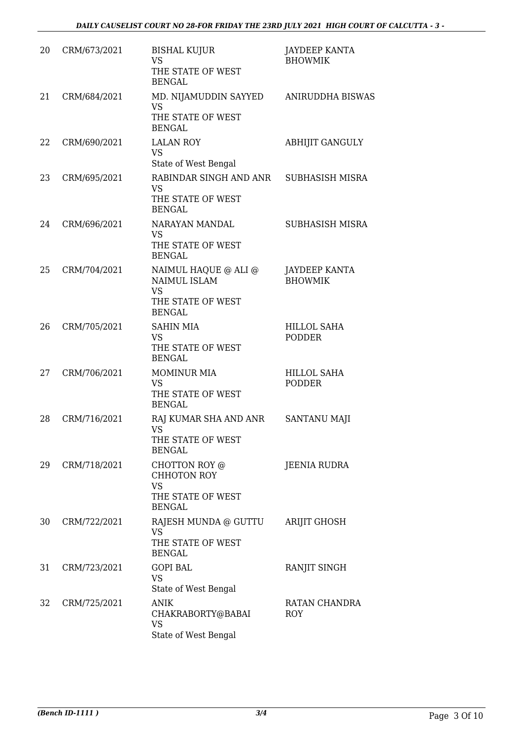| 20 | CRM/673/2021 | <b>BISHAL KUJUR</b><br><b>VS</b><br>THE STATE OF WEST<br><b>BENGAL</b>                  | <b>JAYDEEP KANTA</b><br><b>BHOWMIK</b> |
|----|--------------|-----------------------------------------------------------------------------------------|----------------------------------------|
| 21 | CRM/684/2021 | MD. NIJAMUDDIN SAYYED<br><b>VS</b><br>THE STATE OF WEST<br><b>BENGAL</b>                | <b>ANIRUDDHA BISWAS</b>                |
| 22 | CRM/690/2021 | <b>LALAN ROY</b><br><b>VS</b><br>State of West Bengal                                   | <b>ABHIJIT GANGULY</b>                 |
| 23 | CRM/695/2021 | RABINDAR SINGH AND ANR<br><b>VS</b><br>THE STATE OF WEST<br><b>BENGAL</b>               | <b>SUBHASISH MISRA</b>                 |
| 24 | CRM/696/2021 | NARAYAN MANDAL<br><b>VS</b><br>THE STATE OF WEST<br><b>BENGAL</b>                       | <b>SUBHASISH MISRA</b>                 |
| 25 | CRM/704/2021 | NAIMUL HAQUE @ ALI @<br>NAIMUL ISLAM<br><b>VS</b><br>THE STATE OF WEST<br><b>BENGAL</b> | <b>JAYDEEP KANTA</b><br><b>BHOWMIK</b> |
| 26 | CRM/705/2021 | <b>SAHIN MIA</b><br><b>VS</b><br>THE STATE OF WEST<br><b>BENGAL</b>                     | <b>HILLOL SAHA</b><br><b>PODDER</b>    |
| 27 | CRM/706/2021 | <b>MOMINUR MIA</b><br><b>VS</b><br>THE STATE OF WEST<br><b>BENGAL</b>                   | <b>HILLOL SAHA</b><br><b>PODDER</b>    |
| 28 | CRM/716/2021 | RAJ KUMAR SHA AND ANR<br><b>VS</b><br>THE STATE OF WEST<br><b>BENGAL</b>                | <b>SANTANU MAJI</b>                    |
| 29 | CRM/718/2021 | CHOTTON ROY @<br>CHHOTON ROY<br><b>VS</b><br>THE STATE OF WEST<br><b>BENGAL</b>         | JEENIA RUDRA                           |
| 30 | CRM/722/2021 | RAJESH MUNDA @ GUTTU<br><b>VS</b><br>THE STATE OF WEST<br><b>BENGAL</b>                 | <b>ARIJIT GHOSH</b>                    |
| 31 | CRM/723/2021 | <b>GOPI BAL</b><br><b>VS</b><br>State of West Bengal                                    | RANJIT SINGH                           |
| 32 | CRM/725/2021 | <b>ANIK</b><br>CHAKRABORTY@BABAI<br><b>VS</b><br>State of West Bengal                   | RATAN CHANDRA<br><b>ROY</b>            |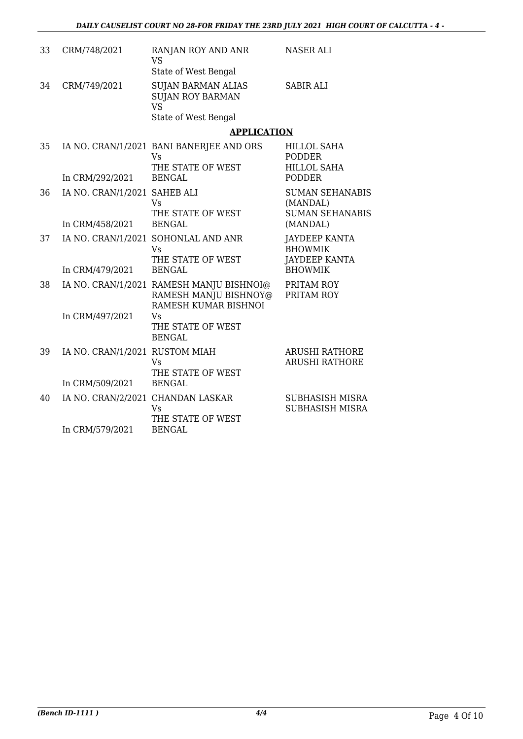| 33 | CRM/748/2021                      | RANJAN ROY AND ANR<br><b>VS</b><br>State of West Bengal                                   | <b>NASER ALI</b>                                               |
|----|-----------------------------------|-------------------------------------------------------------------------------------------|----------------------------------------------------------------|
| 34 | CRM/749/2021                      | <b>SUJAN BARMAN ALIAS</b><br><b>SUJAN ROY BARMAN</b><br><b>VS</b><br>State of West Bengal | <b>SABIR ALI</b>                                               |
|    |                                   | <b>APPLICATION</b>                                                                        |                                                                |
| 35 |                                   | IA NO. CRAN/1/2021 BANI BANERJEE AND ORS<br><b>Vs</b><br>THE STATE OF WEST                | <b>HILLOL SAHA</b><br>PODDER<br><b>HILLOL SAHA</b>             |
|    | In CRM/292/2021                   | <b>BENGAL</b>                                                                             | <b>PODDER</b>                                                  |
| 36 | IA NO. CRAN/1/2021 SAHEB ALI      | <b>Vs</b>                                                                                 | <b>SUMAN SEHANABIS</b><br>(MANDAL)                             |
|    | In CRM/458/2021                   | THE STATE OF WEST<br><b>BENGAL</b>                                                        | <b>SUMAN SEHANABIS</b><br>(MANDAL)                             |
| 37 |                                   | IA NO. CRAN/1/2021 SOHONLAL AND ANR<br><b>Vs</b><br>THE STATE OF WEST                     | <b>JAYDEEP KANTA</b><br><b>BHOWMIK</b><br><b>JAYDEEP KANTA</b> |
|    | In CRM/479/2021                   | <b>BENGAL</b>                                                                             | <b>BHOWMIK</b>                                                 |
| 38 |                                   | IA NO. CRAN/1/2021 RAMESH MANJU BISHNOI@<br>RAMESH MANJU BISHNOY@<br>RAMESH KUMAR BISHNOI | PRITAM ROY<br>PRITAM ROY                                       |
|    | In CRM/497/2021                   | <b>Vs</b><br>THE STATE OF WEST<br><b>BENGAL</b>                                           |                                                                |
| 39 | IA NO. CRAN/1/2021 RUSTOM MIAH    | Vs<br>THE STATE OF WEST                                                                   | <b>ARUSHI RATHORE</b><br><b>ARUSHI RATHORE</b>                 |
|    | In CRM/509/2021                   | <b>BENGAL</b>                                                                             |                                                                |
| 40 | IA NO. CRAN/2/2021 CHANDAN LASKAR | Vs<br>THE STATE OF WEST                                                                   | <b>SUBHASISH MISRA</b><br>SUBHASISH MISRA                      |
|    | In CRM/579/2021                   | <b>BENGAL</b>                                                                             |                                                                |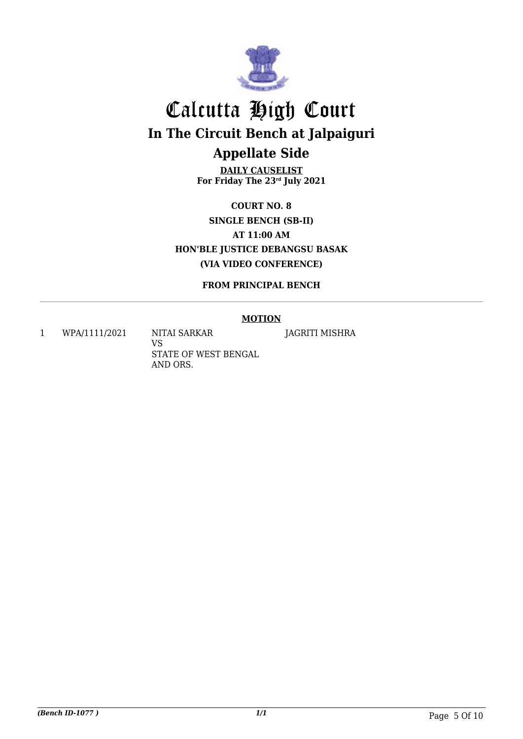

**DAILY CAUSELIST For Friday The 23rd July 2021**

**COURT NO. 8 SINGLE BENCH (SB-II) AT 11:00 AM HON'BLE JUSTICE DEBANGSU BASAK (VIA VIDEO CONFERENCE)**

**FROM PRINCIPAL BENCH**

#### **MOTION**

1 WPA/1111/2021 NITAI SARKAR

VS STATE OF WEST BENGAL AND ORS.

JAGRITI MISHRA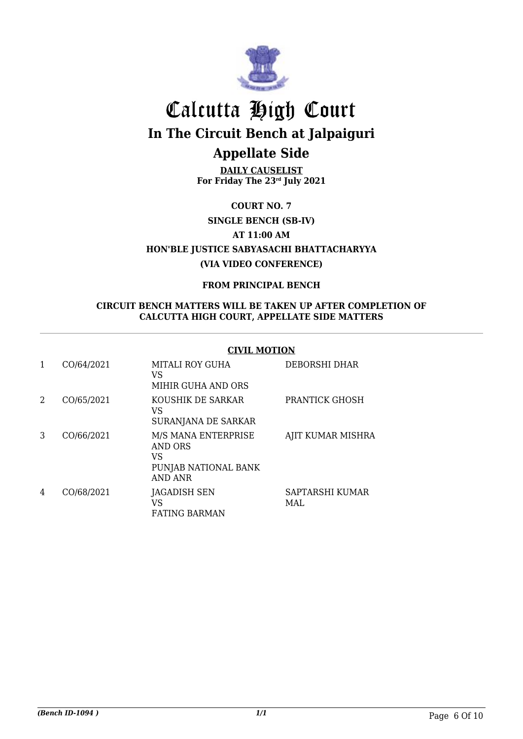

**DAILY CAUSELIST For Friday The 23rd July 2021**

**COURT NO. 7**

**SINGLE BENCH (SB-IV)**

**AT 11:00 AM**

**HON'BLE JUSTICE SABYASACHI BHATTACHARYYA (VIA VIDEO CONFERENCE)**

#### **FROM PRINCIPAL BENCH**

#### **CIRCUIT BENCH MATTERS WILL BE TAKEN UP AFTER COMPLETION OF CALCUTTA HIGH COURT, APPELLATE SIDE MATTERS**

#### **CIVIL MOTION**

|   | CO/64/2021 | MITALI ROY GUHA<br>VS<br>MIHIR GUHA AND ORS                                           | DEBORSHI DHAR           |
|---|------------|---------------------------------------------------------------------------------------|-------------------------|
| 2 | CO/65/2021 | KOUSHIK DE SARKAR<br>VS<br>SURANJANA DE SARKAR                                        | <b>PRANTICK GHOSH</b>   |
| 3 | CO/66/2021 | M/S MANA ENTERPRISE<br><b>AND ORS</b><br>VS<br>PUNJAB NATIONAL BANK<br><b>AND ANR</b> | AJIT KUMAR MISHRA       |
| 4 | CO/68/2021 | <b>JAGADISH SEN</b><br>VS<br><b>FATING BARMAN</b>                                     | SAPTARSHI KUMAR<br>MAI. |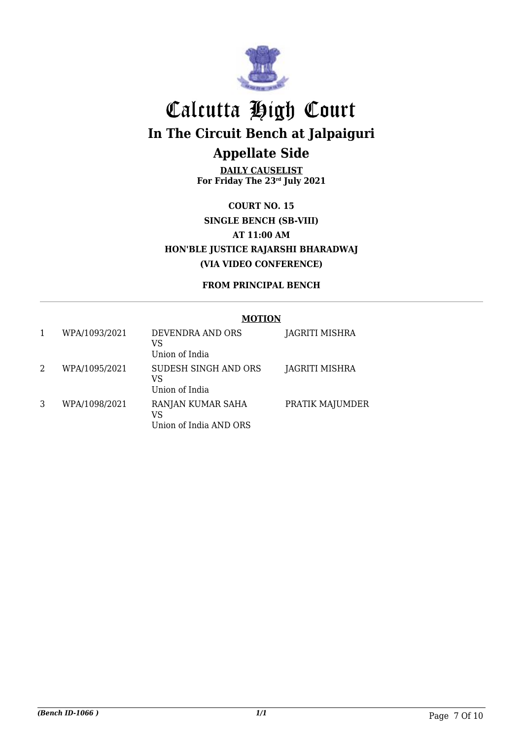

**DAILY CAUSELIST For Friday The 23rd July 2021**

**COURT NO. 15 SINGLE BENCH (SB-VIII) AT 11:00 AM HON'BLE JUSTICE RAJARSHI BHARADWAJ (VIA VIDEO CONFERENCE)**

### **FROM PRINCIPAL BENCH**

#### **MOTION**

| 1 | WPA/1093/2021 | DEVENDRA AND ORS<br>VS<br>Union of India          | JAGRITI MISHRA  |
|---|---------------|---------------------------------------------------|-----------------|
| 2 | WPA/1095/2021 | SUDESH SINGH AND ORS<br>VS<br>Union of India      | JAGRITI MISHRA  |
| 3 | WPA/1098/2021 | RANJAN KUMAR SAHA<br>VS<br>Union of India AND ORS | PRATIK MAJUMDER |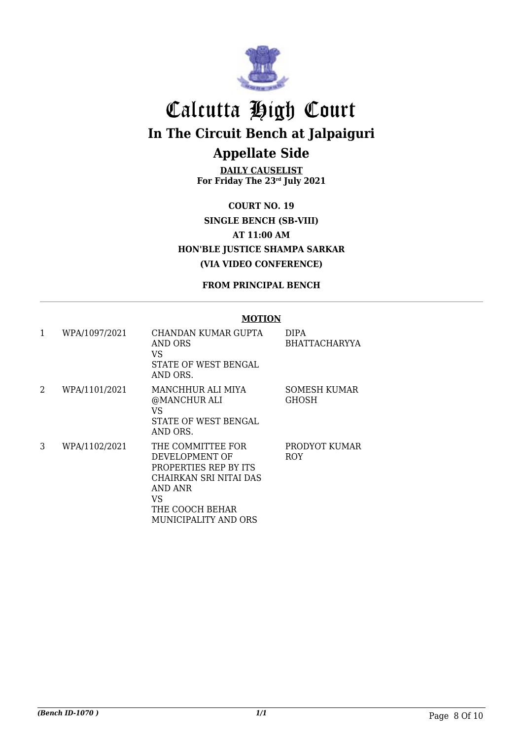

**DAILY CAUSELIST For Friday The 23rd July 2021**

**COURT NO. 19 SINGLE BENCH (SB-VIII) AT 11:00 AM HON'BLE JUSTICE SHAMPA SARKAR (VIA VIDEO CONFERENCE)**

**FROM PRINCIPAL BENCH**

#### **MOTION**

| 1 | WPA/1097/2021 | CHANDAN KUMAR GUPTA<br>AND ORS<br>VS<br>STATE OF WEST BENGAL<br>AND ORS.                                                                           | DIPA<br>BHATTACHARYYA               |
|---|---------------|----------------------------------------------------------------------------------------------------------------------------------------------------|-------------------------------------|
| 2 | WPA/1101/2021 | MANCHHUR ALI MIYA<br>@MANCHUR ALI<br>VS<br>STATE OF WEST BENGAL<br>AND ORS.                                                                        | <b>SOMESH KUMAR</b><br><b>GHOSH</b> |
| 3 | WPA/1102/2021 | THE COMMITTEE FOR<br>DEVELOPMENT OF<br>PROPERTIES REP BY ITS<br>CHAIRKAN SRI NITAI DAS<br>AND ANR<br>VS<br>THE COOCH BEHAR<br>MUNICIPALITY AND ORS | PRODYOT KUMAR<br><b>ROY</b>         |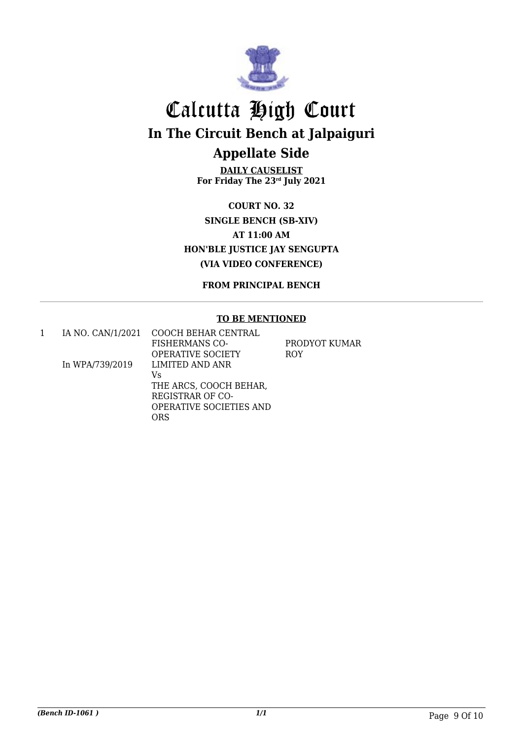

**DAILY CAUSELIST For Friday The 23rd July 2021**

**COURT NO. 32 SINGLE BENCH (SB-XIV) AT 11:00 AM HON'BLE JUSTICE JAY SENGUPTA (VIA VIDEO CONFERENCE)**

**FROM PRINCIPAL BENCH**

#### **TO BE MENTIONED**

|                 | IA NO. CAN/1/2021 COOCH BEHAR CENTRAL |               |
|-----------------|---------------------------------------|---------------|
|                 | <b>FISHERMANS CO-</b>                 | PRODYOT KUMAR |
|                 | OPERATIVE SOCIETY                     | <b>ROY</b>    |
| In WPA/739/2019 | LIMITED AND ANR                       |               |
|                 | Vs                                    |               |
|                 | THE ARCS, COOCH BEHAR,                |               |
|                 | REGISTRAR OF CO-                      |               |
|                 | <b>OPERATIVE SOCIETIES AND</b>        |               |
|                 | ORS                                   |               |
|                 |                                       |               |